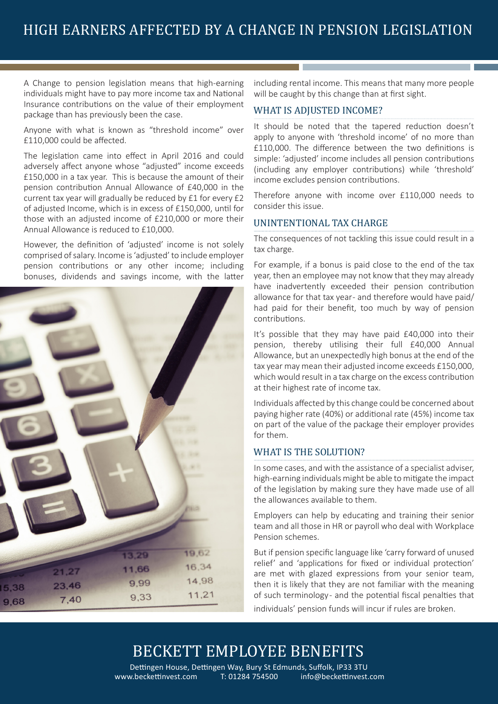A Change to pension legislation means that high-earning individuals might have to pay more income tax and National Insurance contributions on the value of their employment package than has previously been the case.

Anyone with what is known as "threshold income" over £110,000 could be affected.

The legislation came into effect in April 2016 and could adversely affect anyone whose "adjusted" income exceeds £150,000 in a tax year. This is because the amount of their pension contribution Annual Allowance of £40,000 in the current tax year will gradually be reduced by £1 for every £2 of adjusted Income, which is in excess of £150,000, until for those with an adjusted income of £210,000 or more their Annual Allowance is reduced to £10,000.

However, the definition of 'adjusted' income is not solely comprised of salary. Income is 'adjusted' to include employer pension contributions or any other income; including bonuses, dividends and savings income, with the latter



including rental income. This means that many more people will be caught by this change than at first sight.

### WHAT IS ADJUSTED INCOME?

It should be noted that the tapered reduction doesn't apply to anyone with 'threshold income' of no more than £110,000. The difference between the two definitions is simple: 'adjusted' income includes all pension contributions (including any employer contributions) while 'threshold' income excludes pension contributions.

Therefore anyone with income over £110,000 needs to consider this issue.

### UNINTENTIONAL TAX CHARGE

The consequences of not tackling this issue could result in a tax charge.

For example, if a bonus is paid close to the end of the tax year, then an employee may not know that they may already have inadvertently exceeded their pension contribution allowance for that tax year - and therefore would have paid/ had paid for their benefit, too much by way of pension contributions.

It's possible that they may have paid £40,000 into their pension, thereby utilising their full £40,000 Annual Allowance, but an unexpectedly high bonus at the end of the tax year may mean their adjusted income exceeds £150,000, which would result in a tax charge on the excess contribution at their highest rate of income tax.

Individuals affected by this change could be concerned about paying higher rate (40%) or additional rate (45%) income tax on part of the value of the package their employer provides for them.

### WHAT IS THE SOLUTION?

In some cases, and with the assistance of a specialist adviser, high-earning individuals might be able to mitigate the impact of the legislation by making sure they have made use of all the allowances available to them.

Employers can help by educating and training their senior team and all those in HR or payroll who deal with Workplace Pension schemes.

But if pension specific language like 'carry forward of unused relief' and 'applications for fixed or individual protection' are met with glazed expressions from your senior team, then it is likely that they are not familiar with the meaning of such terminology - and the potential fiscal penalties that individuals' pension funds will incur if rules are broken.

# BECKETT EMPLOYEE BENEFITS

www.beckettinvest.com T: 01284 754500 info@beckettinvest.com Dettingen House, Dettingen Way, Bury St Edmunds, Suffolk, IP33 3TU